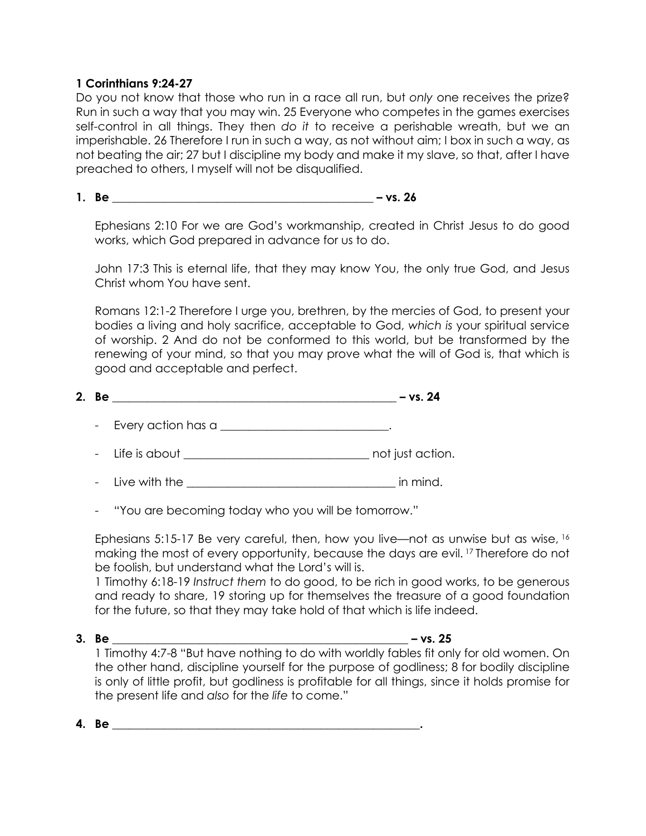## **1 Corinthians 9:24-27**

Do you not know that those who run in a race all run, but *only* one receives the prize? Run in such a way that you may win. 25 Everyone who competes in the games exercises self-control in all things. They then *do it* to receive a perishable wreath, but we an imperishable. 26 Therefore I run in such a way, as not without aim; I box in such a way, as not beating the air; 27 but I discipline my body and make it my slave, so that, after I have preached to others, I myself will not be disqualified.

## **1. Be \_\_\_\_\_\_\_\_\_\_\_\_\_\_\_\_\_\_\_\_\_\_\_\_\_\_\_\_\_\_\_\_\_\_\_\_\_\_\_\_\_\_\_\_\_ – vs. 26**

Ephesians 2:10 For we are God's workmanship, created in Christ Jesus to do good works, which God prepared in advance for us to do.

John 17:3 This is eternal life, that they may know You, the only true God, and Jesus Christ whom You have sent.

Romans 12:1-2 Therefore I urge you, brethren, by the mercies of God, to present your bodies a living and holy sacrifice, acceptable to God, *which is* your spiritual service of worship. 2 And do not be conformed to this world, but be transformed by the renewing of your mind, so that you may prove what the will of God is, that which is good and acceptable and perfect.

| 2. |  |  |
|----|--|--|
|    |  |  |

- Every action has a \_\_\_\_\_\_\_\_\_\_\_\_\_\_\_\_\_\_\_\_\_\_\_\_\_\_.
- Life is about **Example 20** and just action.
- Live with the \_\_\_\_\_\_\_\_\_\_\_\_\_\_\_\_\_\_\_\_\_\_\_\_\_\_\_\_\_\_\_\_\_\_\_\_ in mind.

"You are becoming today who you will be tomorrow."

Ephesians 5:15-17 Be very careful, then, how you live—not as unwise but as wise, <sup>16</sup> making the most of every opportunity, because the days are evil. 17 Therefore do not be foolish, but understand what the Lord's will is.

1 Timothy 6:18-19 *Instruct them* to do good, to be rich in good works, to be generous and ready to share, 19 storing up for themselves the treasure of a good foundation for the future, so that they may take hold of that which is life indeed.

**3. Be \_\_\_\_\_\_\_\_\_\_\_\_\_\_\_\_\_\_\_\_\_\_\_\_\_\_\_\_\_\_\_\_\_\_\_\_\_\_\_\_\_\_\_\_\_\_\_\_\_\_\_ – vs. 25**

1 Timothy 4:7-8 "But have nothing to do with worldly fables fit only for old women. On the other hand, discipline yourself for the purpose of godliness; 8 for bodily discipline is only of little profit, but godliness is profitable for all things, since it holds promise for the present life and *also* for the *life* to come."

**4. Be \_\_\_\_\_\_\_\_\_\_\_\_\_\_\_\_\_\_\_\_\_\_\_\_\_\_\_\_\_\_\_\_\_\_\_\_\_\_\_\_\_\_\_\_\_\_\_\_\_\_\_\_\_.**